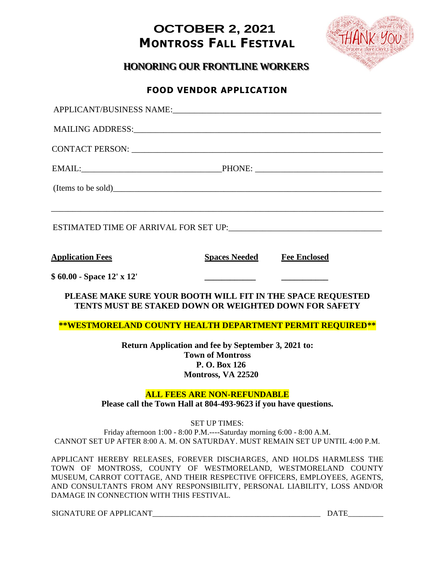## **OCTOBER 2, 2021 MONTROSS FALL FESTIVAL**



HONORING OUR FRONTLINE WORKERS

## **FOOD VENDOR APPLICATION**

| <b>Application Fees</b>   | <b>Spaces Needed</b>                                                                                                  | <b>Fee Enclosed</b> |
|---------------------------|-----------------------------------------------------------------------------------------------------------------------|---------------------|
| \$60.00 - Space 12' x 12' |                                                                                                                       |                     |
|                           | PLEASE MAKE SURE YOUR BOOTH WILL FIT IN THE SPACE REQUESTED<br>TENTS MUST BE STAKED DOWN OR WEIGHTED DOWN FOR SAFETY  |                     |
|                           | **WESTMORELAND COUNTY HEALTH DEPARTMENT PERMIT REQUIRED**                                                             |                     |
|                           | Return Application and fee by September 3, 2021 to:<br><b>Town of Montross</b><br>P. O. Box 126<br>Montross, VA 22520 |                     |
|                           | <b>ALL FEES ARE NON-REFUNDABLE</b><br>Please call the Town Hall at 804-493-9623 if you have questions.                |                     |
|                           | <b>SET UP TIMES:</b><br>Friday afternoon 1:00 - 8:00 P.M.----Saturday morning 6:00 - 8:00 A.M.                        |                     |

CANNOT SET UP AFTER 8:00 A. M. ON SATURDAY. MUST REMAIN SET UP UNTIL 4:00 P.M.

APPLICANT HEREBY RELEASES, FOREVER DISCHARGES, AND HOLDS HARMLESS THE TOWN OF MONTROSS, COUNTY OF WESTMORELAND, WESTMORELAND COUNTY MUSEUM, CARROT COTTAGE, AND THEIR RESPECTIVE OFFICERS, EMPLOYEES, AGENTS, AND CONSULTANTS FROM ANY RESPONSIBILITY, PERSONAL LIABILITY, LOSS AND/OR DAMAGE IN CONNECTION WITH THIS FESTIVAL.

SIGNATURE OF APPLICANT\_\_\_\_\_\_\_\_\_\_\_\_\_\_\_\_\_\_\_\_\_\_\_\_\_\_\_\_\_\_\_\_\_\_\_\_\_\_\_\_\_\_\_ DATE\_\_\_\_\_\_\_\_\_